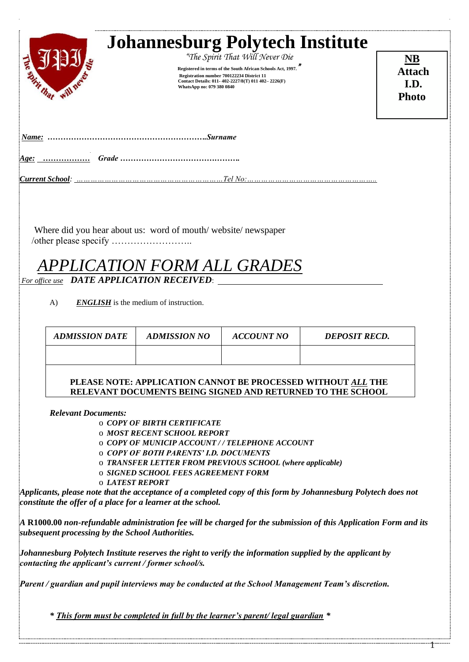| Surname<br>$Name:$ .<br>Age:                                                                       | <b>Attach</b><br>I.D.<br><b>Photo</b> |
|----------------------------------------------------------------------------------------------------|---------------------------------------|
|                                                                                                    |                                       |
|                                                                                                    |                                       |
| Where did you hear about us: word of mouth/website/newspaper<br><b>APPLICATION FORM ALL GRADES</b> |                                       |

*For office use DATE APPLICATION RECEIVED*:

A) **ENGLISH** is the medium of instruction.

| <i><b>ADMISSION DATE</b></i> | <b>ADMISSION NO</b> | ACCOUNT NO | <b>DEPOSIT RECD.</b> |
|------------------------------|---------------------|------------|----------------------|
|                              |                     |            |                      |
|                              |                     |            |                      |

**PLEASE NOTE: APPLICATION CANNOT BE PROCESSED WITHOUT** *ALL* **THE RELEVANT DOCUMENTS BEING SIGNED AND RETURNED TO THE SCHOOL**

*Relevant Documents:*

o *COPY OF BIRTH CERTIFICATE*

o *MOST RECENT SCHOOL REPORT* 

o *COPY OF MUNICIP ACCOUNT / / TELEPHONE ACCOUNT*

o *COPY OF BOTH PARENTS' I.D. DOCUMENTS* 

o *TRANSFER LETTER FROM PREVIOUS SCHOOL (where applicable)* 

o *SIGNED SCHOOL FEES AGREEMENT FORM*

o *LATEST REPORT* 

*Applicants, please note that the acceptance of a completed copy of this form by Johannesburg Polytech does not constitute the offer of a place for a learner at the school.*

*A* **R1000.00** *non-refundable administration fee will be charged for the submission of this Application Form and its subsequent processing by the School Authorities.*

*Johannesburg Polytech Institute reserves the right to verify the information supplied by the applicant by contacting the applicant's current / former school/s.*

*Parent / guardian and pupil interviews may be conducted at the School Management Team's discretion.*

*\* This form must be completed in full by the learner's parent/ legal guardian \**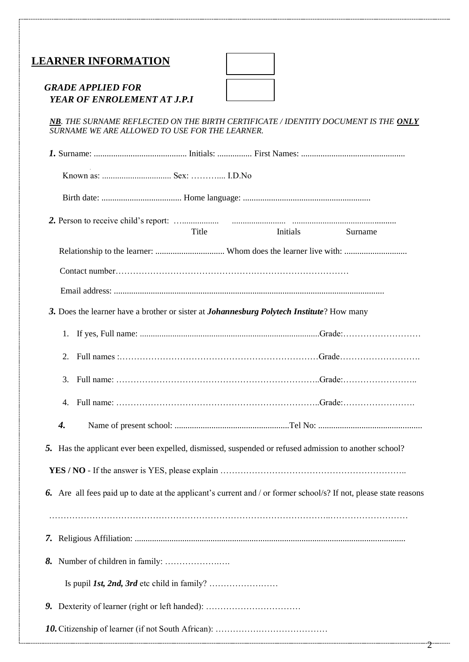# **LEARNER INFORMATION**

#### *GRADE APPLIED FOR YEAR OF ENROLEMENT AT J.P.I*

*NB. THE SURNAME REFLECTED ON THE BIRTH CERTIFICATE / IDENTITY DOCUMENT IS THE ONLY SURNAME WE ARE ALLOWED TO USE FOR THE LEARNER.*

|    |                    | Title                                                                                                 | Initials | Surname                                                                                                           |
|----|--------------------|-------------------------------------------------------------------------------------------------------|----------|-------------------------------------------------------------------------------------------------------------------|
|    |                    |                                                                                                       |          |                                                                                                                   |
|    |                    |                                                                                                       |          |                                                                                                                   |
|    |                    |                                                                                                       |          |                                                                                                                   |
|    |                    | 3. Does the learner have a brother or sister at <i>Johannesburg Polytech Institute</i> ? How many     |          |                                                                                                                   |
|    |                    |                                                                                                       |          |                                                                                                                   |
|    | 2.                 |                                                                                                       |          |                                                                                                                   |
|    | 3.                 |                                                                                                       |          |                                                                                                                   |
|    | 4.                 |                                                                                                       |          |                                                                                                                   |
|    | $\boldsymbol{4}$ . |                                                                                                       |          |                                                                                                                   |
|    |                    | 5. Has the applicant ever been expelled, dismissed, suspended or refused admission to another school? |          |                                                                                                                   |
|    |                    |                                                                                                       |          |                                                                                                                   |
|    |                    |                                                                                                       |          | 6. Are all fees paid up to date at the applicant's current and / or former school/s? If not, please state reasons |
|    |                    |                                                                                                       |          |                                                                                                                   |
| 7. |                    |                                                                                                       |          |                                                                                                                   |
| 8. |                    |                                                                                                       |          |                                                                                                                   |
|    |                    |                                                                                                       |          |                                                                                                                   |
| 9. |                    |                                                                                                       |          |                                                                                                                   |
|    |                    |                                                                                                       |          |                                                                                                                   |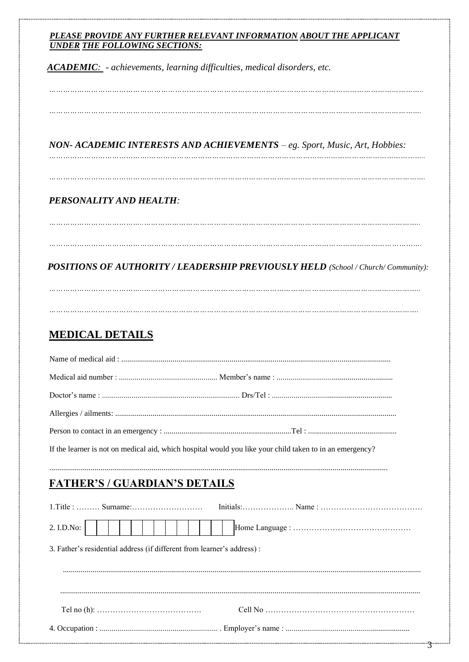#### PLEASE PROVIDE ANY FURTHER RELEVANT INFORMATION ABOUT THE APPLICANT **UNDER THE FOLLOWING SECTIONS:**

**ACADEMIC**: - achievements, learning difficulties, medical disorders, etc.

### NON- ACADEMIC INTERESTS AND ACHIEVEMENTS - eg. Sport, Music, Art, Hobbies:

... ... ... ... ... ... ... ... ... ... ... ... ... ... ... ... ... ... ... ... ... ... ... ... ... ... ... ... ... ... ... ... ... ... ... ... ... ... ... ... ... ... ... ... ... ... ..

# PERSONALITY AND HEALTH:

### POSITIONS OF AUTHORITY / LEADERSHIP PREVIOUSLY HELD (School / Church/ Community):

... ... ... ... ... ... ... ... ... ... ... ... ... ... ... ... ... ... ... ... ... ... ... ... ... ... ... ... ... ... ... ... ... ... ... ... ... ... ... ... ... ... ... ... ... ... .

# **MEDICAL DETAILS**